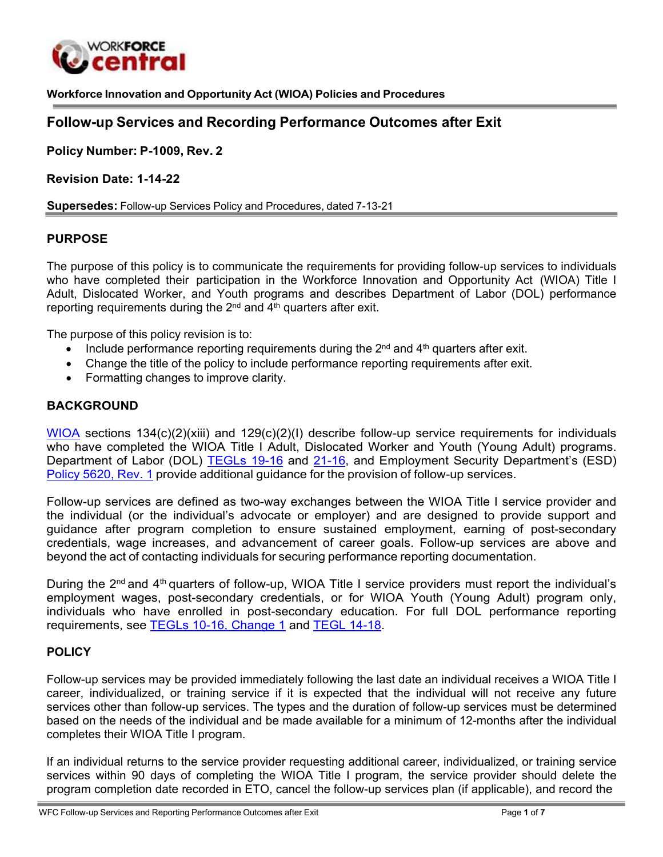

**Workforce Innovation and Opportunity Act (WIOA) Policies and Procedures**

# **Follow-up Services and Recording Performance Outcomes after Exit**

**Policy Number: P-1009, Rev. 2**

**Revision Date: 1-14-22**

**Supersedes:** Follow-up Services Policy and Procedures, dated 7-13-21

#### **PURPOSE**

The purpose of this policy is to communicate the requirements for providing follow-up services to individuals who have completed their participation in the Workforce Innovation and Opportunity Act (WIOA) Title I Adult, Dislocated Worker, and Youth programs and describes Department of Labor (DOL) performance reporting requirements during the  $2^{nd}$  and  $4^{th}$  quarters after exit.

The purpose of this policy revision is to:

- Include performance reporting requirements during the  $2<sup>nd</sup>$  and  $4<sup>th</sup>$  quarters after exit.
- Change the title of the policy to include performance reporting requirements after exit.
- Formatting changes to improve clarity.

#### **BACKGROUND**

[WIOA](https://www.congress.gov/113/bills/hr803/BILLS-113hr803enr.pdf) sections  $134(c)(2)(xiii)$  and  $129(c)(2)(1)$  describe follow-up service requirements for individuals who have completed the WIOA Title I Adult, Dislocated Worker and Youth (Young Adult) programs. Department of Labor (DOL) [TEGLs 19-16](https://wdr.doleta.gov/directives/attach/TEGL/TEGL_19-16.pdf) and [21-16,](https://wdr.doleta.gov/directives/attach/TEGL/TEGL_21-16.pdf) and Employment Security Department's (ESD) [Policy](https://storemultisites.blob.core.windows.net/media/WPC/adm/policy/5620-1.pdf) 5620, Rev. 1 provide additional guidance for the provision of follow-up services.

Follow-up services are defined as two-way exchanges between the WIOA Title I service provider and the individual (or the individual's advocate or employer) and are designed to provide support and guidance after program completion to ensure sustained employment, earning of post-secondary credentials, wage increases, and advancement of career goals. Follow-up services are above and beyond the act of contacting individuals for securing performance reporting documentation.

During the 2<sup>nd</sup> and 4<sup>th</sup> quarters of follow-up, WIOA Title I service providers must report the individual's employment wages, post-secondary credentials, or for WIOA Youth (Young Adult) program only, individuals who have enrolled in post-secondary education. For full DOL performance reporting requirements, see TEGLs [10-16, Change 1](https://wdr.doleta.gov/directives/attach/TEGL/TEGL_10-16-Change1_Acc.pdf) and TEGL [14-18.](https://wdr.doleta.gov/directives/corr_doc.cfm?DOCN=7611)

### **POLICY**

Follow-up services may be provided immediately following the last date an individual receives a WIOA Title I career, individualized, or training service if it is expected that the individual will not receive any future services other than follow-up services. The types and the duration of follow-up services must be determined based on the needs of the individual and be made available for a minimum of 12-months after the individual completes their WIOA Title I program.

If an individual returns to the service provider requesting additional career, individualized, or training service services within 90 days of completing the WIOA Title I program, the service provider should delete the program completion date recorded in ETO, cancel the follow-up services plan (if applicable), and record the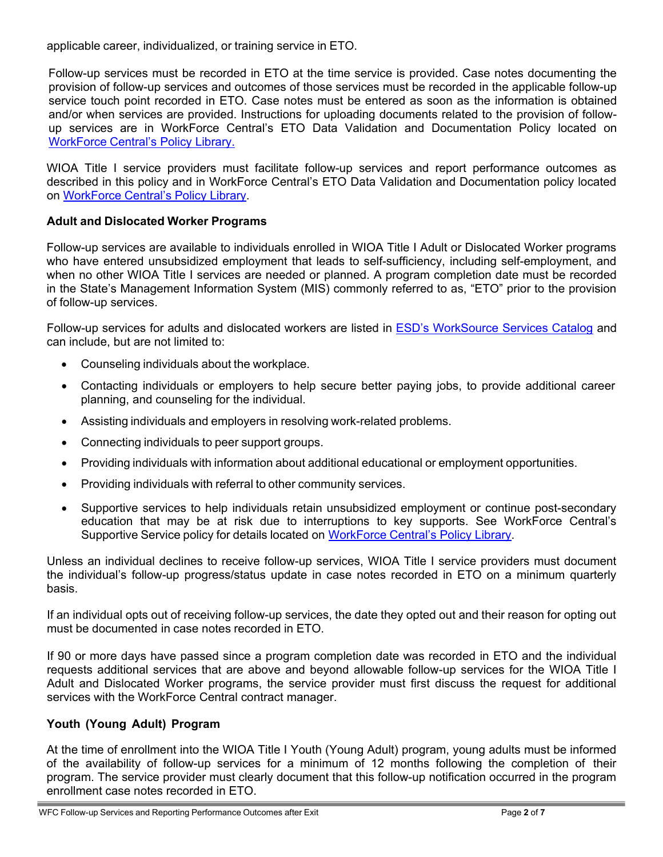applicable career, individualized, or training service in ETO.

Follow-up services must be recorded in ETO at the time service is provided. Case notes documenting the provision of follow-up services and outcomes of those services must be recorded in the applicable follow-up service touch point recorded in ETO. Case notes must be entered as soon as the information is obtained and/or when services are provided. Instructions for uploading documents related to the provision of followup services are in WorkForce Central's ETO Data Validation and Documentation Policy located on [WorkForce](https://workforce-central.org/about/policies/) Central's Policy Library.

WIOA Title I service providers must facilitate follow-up services and report performance outcomes as described in this policy and in WorkForce Central's ETO Data Validation and Documentation policy located on [WorkForce](https://workforce-central.org/about/policies/) Central's Policy Library.

## **Adult and Dislocated Worker Programs**

Follow-up services are available to individuals enrolled in WIOA Title I Adult or Dislocated Worker programs who have entered unsubsidized employment that leads to self-sufficiency, including self-employment, and when no other WIOA Title I services are needed or planned. A program completion date must be recorded in the State's Management Information System (MIS) commonly referred to as, "ETO" prior to the provision of follow-up services.

Follow-up services for adults and dislocated workers are listed in [ESD's WorkSource Services Catalog](https://view.officeapps.live.com/op/view.aspx?src=https%3A%2F%2Fstoremultisites.blob.core.windows.net%2Fmedia%2FWPC%2Fwswa%2Fsupport%2Fworksource-services-catalog.xlsx&wdOrigin=BROWSELINK) and can include, but are not limited to:

- Counseling individuals about the workplace.
- Contacting individuals or employers to help secure better paying jobs, to provide additional career planning, and counseling for the individual.
- Assisting individuals and employers in resolving work-related problems.
- Connecting individuals to peer support groups.
- Providing individuals with information about additional educational or employment opportunities.
- Providing individuals with referral to other community services.
- Supportive services to help individuals retain unsubsidized employment or continue post-secondary education that may be at risk due to interruptions to key supports. See WorkForce Central's Supportive Service policy for details located on WorkForce [Central's Policy](https://workforce-central.org/about/policies/) Library.

Unless an individual declines to receive follow-up services, WIOA Title I service providers must document the individual's follow-up progress/status update in case notes recorded in ETO on a minimum quarterly basis.

If an individual opts out of receiving follow-up services, the date they opted out and their reason for opting out must be documented in case notes recorded in ETO.

If 90 or more days have passed since a program completion date was recorded in ETO and the individual requests additional services that are above and beyond allowable follow-up services for the WIOA Title I Adult and Dislocated Worker programs, the service provider must first discuss the request for additional services with the WorkForce Central contract manager.

# **Youth (Young Adult) Program**

At the time of enrollment into the WIOA Title I Youth (Young Adult) program, young adults must be informed of the availability of follow-up services for a minimum of 12 months following the completion of their program. The service provider must clearly document that this follow-up notification occurred in the program enrollment case notes recorded in ETO.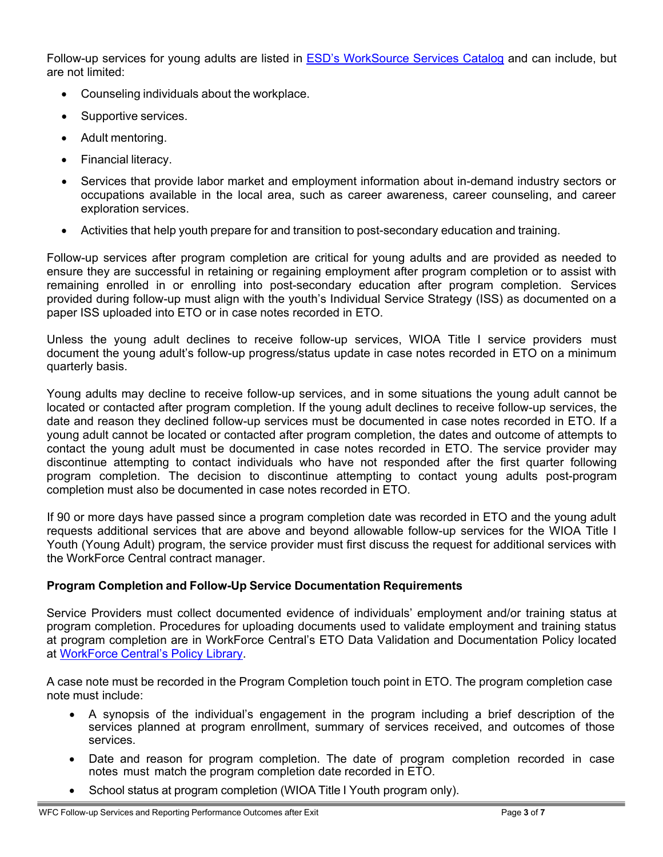Follow-up services for young adults are listed in [ESD's WorkSource Services Catalog](https://view.officeapps.live.com/op/view.aspx?src=https%3A%2F%2Fstoremultisites.blob.core.windows.net%2Fmedia%2FWPC%2Fwswa%2Fsupport%2Fworksource-services-catalog.xlsx&wdOrigin=BROWSELINK) and can include, but are not limited:

- Counseling individuals about the workplace.
- Supportive services.
- Adult mentoring.
- Financial literacy.
- Services that provide labor market and employment information about in-demand industry sectors or occupations available in the local area, such as career awareness, career counseling, and career exploration services.
- Activities that help youth prepare for and transition to post-secondary education and training.

Follow-up services after program completion are critical for young adults and are provided as needed to ensure they are successful in retaining or regaining employment after program completion or to assist with remaining enrolled in or enrolling into post-secondary education after program completion. Services provided during follow-up must align with the youth's Individual Service Strategy (ISS) as documented on a paper ISS uploaded into ETO or in case notes recorded in ETO.

Unless the young adult declines to receive follow-up services, WIOA Title I service providers must document the young adult's follow-up progress/status update in case notes recorded in ETO on a minimum quarterly basis.

Young adults may decline to receive follow-up services, and in some situations the young adult cannot be located or contacted after program completion. If the young adult declines to receive follow-up services, the date and reason they declined follow-up services must be documented in case notes recorded in ETO. If a young adult cannot be located or contacted after program completion, the dates and outcome of attempts to contact the young adult must be documented in case notes recorded in ETO. The service provider may discontinue attempting to contact individuals who have not responded after the first quarter following program completion. The decision to discontinue attempting to contact young adults post-program completion must also be documented in case notes recorded in ETO.

If 90 or more days have passed since a program completion date was recorded in ETO and the young adult requests additional services that are above and beyond allowable follow-up services for the WIOA Title I Youth (Young Adult) program, the service provider must first discuss the request for additional services with the WorkForce Central contract manager.

### **Program Completion and Follow-Up Service Documentation Requirements**

Service Providers must collect documented evidence of individuals' employment and/or training status at program completion. Procedures for uploading documents used to validate employment and training status at program completion are in WorkForce Central's ETO Data Validation and Documentation Policy located at WorkForce [Central's Policy](https://workforce-central.org/about/policies/) Library.

A case note must be recorded in the Program Completion touch point in ETO. The program completion case note must include:

- A synopsis of the individual's engagement in the program including a brief description of the services planned at program enrollment, summary of services received, and outcomes of those services.
- Date and reason for program completion. The date of program completion recorded in case notes must match the program completion date recorded in ETO.
- School status at program completion (WIOA Title I Youth program only).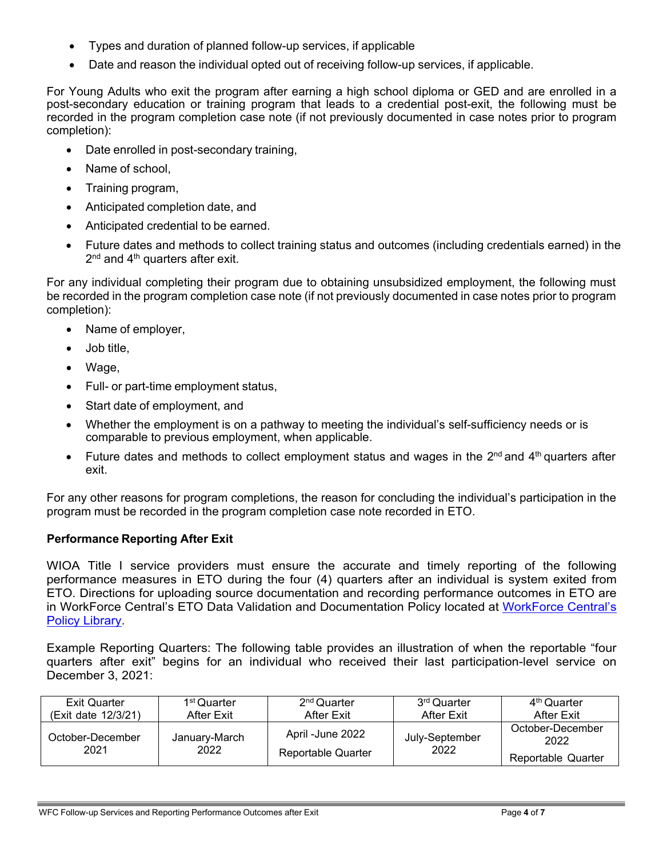- Types and duration of planned follow-up services, if applicable
- Date and reason the individual opted out of receiving follow-up services, if applicable.

For Young Adults who exit the program after earning a high school diploma or GED and are enrolled in a post-secondary education or training program that leads to a credential post-exit, the following must be recorded in the program completion case note (if not previously documented in case notes prior to program completion):

- Date enrolled in post-secondary training,
- Name of school.
- Training program,
- Anticipated completion date, and
- Anticipated credential to be earned.
- Future dates and methods to collect training status and outcomes (including credentials earned) in the  $2<sup>nd</sup>$  and  $4<sup>th</sup>$  quarters after exit.

For any individual completing their program due to obtaining unsubsidized employment, the following must be recorded in the program completion case note (if not previously documented in case notes prior to program completion):

- Name of employer,
- Job title,
- Wage,
- Full- or part-time employment status,
- Start date of employment, and
- Whether the employment is on a pathway to meeting the individual's self-sufficiency needs or is comparable to previous employment, when applicable.
- Future dates and methods to collect employment status and wages in the  $2^{nd}$  and  $4^{th}$  quarters after exit.

For any other reasons for program completions, the reason for concluding the individual's participation in the program must be recorded in the program completion case note recorded in ETO.

### **Performance Reporting After Exit**

WIOA Title I service providers must ensure the accurate and timely reporting of the following performance measures in ETO during the four (4) quarters after an individual is system exited from ETO. Directions for uploading source documentation and recording performance outcomes in ETO are in WorkForce Central's ETO Data Validation and Documentation Policy located at [WorkForce Central's](https://workforce-central.org/about/policies/) Policy [Library.](https://workforce-central.org/about/policies/)

Example Reporting Quarters: The following table provides an illustration of when the reportable "four quarters after exit" begins for an individual who received their last participation-level service on December 3, 2021:

| <b>Exit Quarter</b>      | 1 <sup>st</sup> Quarter | $2nd$ Quarter                          | 3 <sup>rd</sup> Quarter | 4 <sup>th</sup> Quarter                        |
|--------------------------|-------------------------|----------------------------------------|-------------------------|------------------------------------------------|
| (Exit date 12/3/21)      | After Exit              | After Exit                             | After Exit              | After Exit                                     |
| October-December<br>2021 | January-March<br>2022   | April -June 2022<br>Reportable Quarter | July-September<br>2022  | October-December<br>2022<br>Reportable Quarter |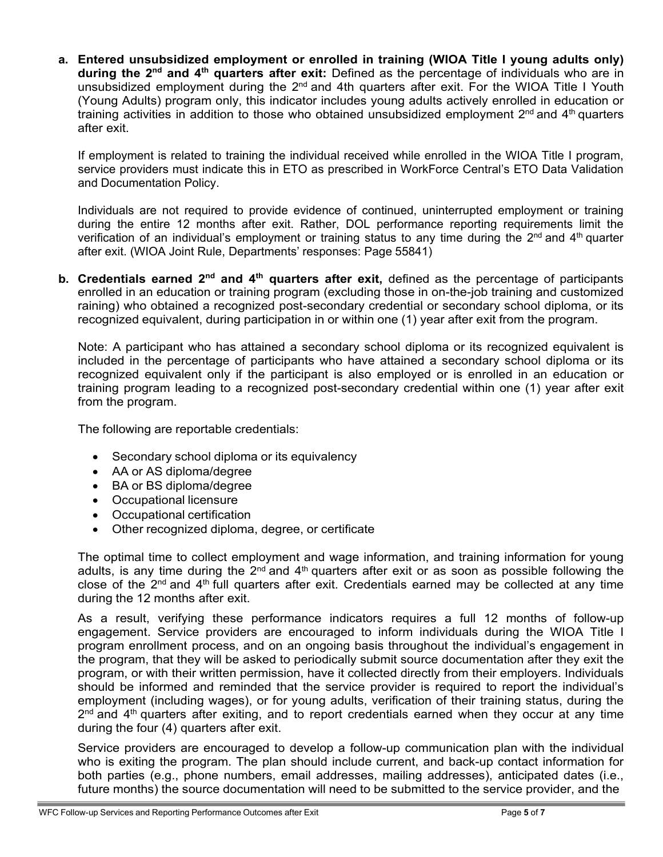**a. Entered unsubsidized employment or enrolled in training (WIOA Title I young adults only) during the 2nd and 4th quarters after exit:** Defined as the percentage of individuals who are in unsubsidized employment during the  $2<sup>nd</sup>$  and 4th quarters after exit. For the WIOA Title I Youth (Young Adults) program only, this indicator includes young adults actively enrolled in education or training activities in addition to those who obtained unsubsidized employment  $2<sup>nd</sup>$  and  $4<sup>th</sup>$  quarters after exit.

If employment is related to training the individual received while enrolled in the WIOA Title I program, service providers must indicate this in ETO as prescribed in WorkForce Central's ETO Data Validation and Documentation Policy.

Individuals are not required to provide evidence of continued, uninterrupted employment or training during the entire 12 months after exit. Rather, DOL performance reporting requirements limit the verification of an individual's employment or training status to any time during the  $2^{nd}$  and  $4^{th}$  quarter after exit. (WIOA Joint Rule, Departments' responses: Page 55841)

**b. Credentials earned 2<sup>nd</sup> and 4<sup>th</sup> quarters after exit, defined as the percentage of participants** enrolled in an education or training program (excluding those in on-the-job training and customized raining) who obtained a recognized post-secondary credential or secondary school diploma, or its recognized equivalent, during participation in or within one (1) year after exit from the program.

Note: A participant who has attained a secondary school diploma or its recognized equivalent is included in the percentage of participants who have attained a secondary school diploma or its recognized equivalent only if the participant is also employed or is enrolled in an education or training program leading to a recognized post-secondary credential within one (1) year after exit from the program.

The following are reportable credentials:

- Secondary school diploma or its equivalency
- AA or AS diploma/degree
- BA or BS diploma/degree
- Occupational licensure
- Occupational certification
- Other recognized diploma, degree, or certificate

The optimal time to collect employment and wage information, and training information for young adults, is any time during the  $2<sup>nd</sup>$  and  $4<sup>th</sup>$  quarters after exit or as soon as possible following the close of the 2<sup>nd</sup> and 4<sup>th</sup> full quarters after exit. Credentials earned may be collected at any time during the 12 months after exit.

As a result, verifying these performance indicators requires a full 12 months of follow-up engagement. Service providers are encouraged to inform individuals during the WIOA Title I program enrollment process, and on an ongoing basis throughout the individual's engagement in the program, that they will be asked to periodically submit source documentation after they exit the program, or with their written permission, have it collected directly from their employers. Individuals should be informed and reminded that the service provider is required to report the individual's employment (including wages), or for young adults, verification of their training status, during the  $2<sup>nd</sup>$  and 4<sup>th</sup> quarters after exiting, and to report credentials earned when they occur at any time during the four (4) quarters after exit.

Service providers are encouraged to develop a follow-up communication plan with the individual who is exiting the program. The plan should include current, and back-up contact information for both parties (e.g., phone numbers, email addresses, mailing addresses), anticipated dates (i.e., future months) the source documentation will need to be submitted to the service provider, and the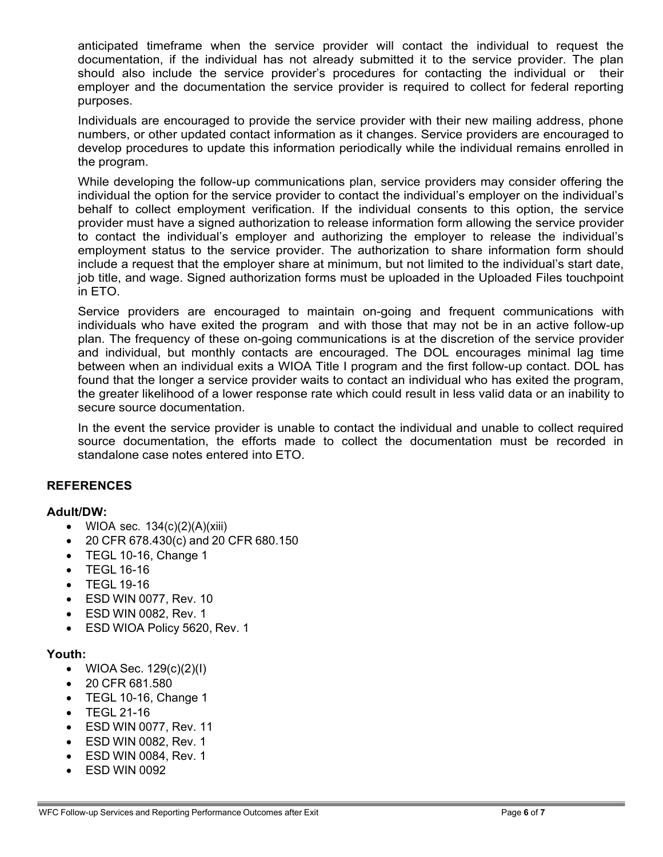anticipated timeframe when the service provider will contact the individual to request the documentation, if the individual has not already submitted it to the service provider. The plan should also include the service provider's procedures for contacting the individual or their employer and the documentation the service provider is required to collect for federal reporting purposes.

Individuals are encouraged to provide the service provider with their new mailing address, phone numbers, or other updated contact information as it changes. Service providers are encouraged to develop procedures to update this information periodically while the individual remains enrolled in the program.

While developing the follow-up communications plan, service providers may consider offering the individual the option for the service provider to contact the individual's employer on the individual's behalf to collect employment verification. If the individual consents to this option, the service provider must have a signed authorization to release information form allowing the service provider to contact the individual's employer and authorizing the employer to release the individual's employment status to the service provider. The authorization to share information form should include a request that the employer share at minimum, but not limited to the individual's start date, job title, and wage. Signed authorization forms must be uploaded in the Uploaded Files touchpoint in ETO.

Service providers are encouraged to maintain on-going and frequent communications with individuals who have exited the program and with those that may not be in an active follow-up plan. The frequency of these on-going communications is at the discretion of the service provider and individual, but monthly contacts are encouraged. The DOL encourages minimal lag time between when an individual exits a WIOA Title I program and the first follow-up contact. DOL has found that the longer a service provider waits to contact an individual who has exited the program, the greater likelihood of a lower response rate which could result in less valid data or an inability to secure source documentation.

In the event the service provider is unable to contact the individual and unable to collect required source documentation, the efforts made to collect the documentation must be recorded in standalone case notes entered into ETO.

### **REFERENCES**

#### **Adult/DW:**

- WIOA sec.  $134(c)(2)(A)(xiii)$
- 20 CFR 678.430(c) and 20 CFR 680.150
- TEGL 10-16, Change 1
- TEGL 16-16
- TEGL 19-16
- ESD WIN 0077, Rev. 10
- ESD WIN 0082, Rev. 1
- ESD WIOA Policy 5620, Rev. 1

### **Youth:**

- WIOA Sec.  $129(c)(2)(l)$
- 20 CFR 681.580
- TEGL 10-16, Change 1
- TEGL 21-16
- ESD WIN 0077, Rev. 11
- ESD WIN 0082, Rev. 1
- ESD WIN 0084, Rev. 1
- ESD WIN 0092